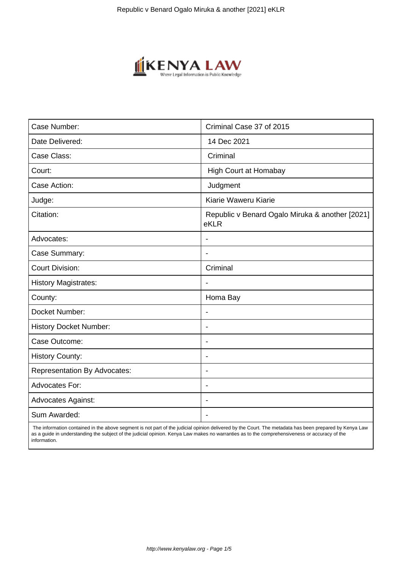

| Case Number:                        | Criminal Case 37 of 2015                                |
|-------------------------------------|---------------------------------------------------------|
| Date Delivered:                     | 14 Dec 2021                                             |
| Case Class:                         | Criminal                                                |
| Court:                              | <b>High Court at Homabay</b>                            |
| Case Action:                        | Judgment                                                |
| Judge:                              | Kiarie Waweru Kiarie                                    |
| Citation:                           | Republic v Benard Ogalo Miruka & another [2021]<br>eKLR |
| Advocates:                          |                                                         |
| Case Summary:                       | $\blacksquare$                                          |
| <b>Court Division:</b>              | Criminal                                                |
| <b>History Magistrates:</b>         |                                                         |
| County:                             | Homa Bay                                                |
| Docket Number:                      |                                                         |
| <b>History Docket Number:</b>       | $\overline{\phantom{a}}$                                |
| Case Outcome:                       |                                                         |
| <b>History County:</b>              | $\overline{\phantom{a}}$                                |
| <b>Representation By Advocates:</b> | $\blacksquare$                                          |
| Advocates For:                      | $\blacksquare$                                          |
| <b>Advocates Against:</b>           |                                                         |
| Sum Awarded:                        |                                                         |

 The information contained in the above segment is not part of the judicial opinion delivered by the Court. The metadata has been prepared by Kenya Law as a guide in understanding the subject of the judicial opinion. Kenya Law makes no warranties as to the comprehensiveness or accuracy of the information.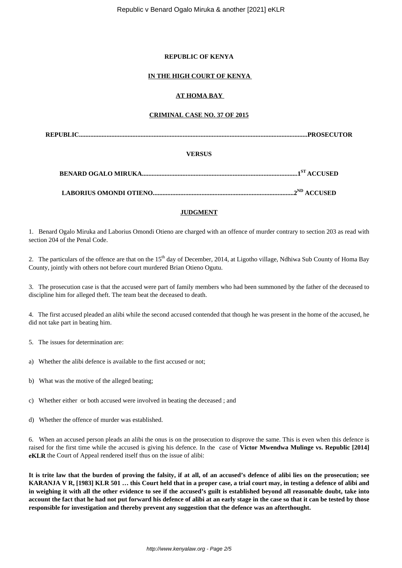### **REPUBLIC OF KENYA**

## **IN THE HIGH COURT OF KENYA**

### **AT HOMA BAY**

## **CRIMINAL CASE NO. 37 OF 2015**

**REPUBLIC.............................................................................................................................................PROSECUTOR**

### **VERSUS**

|--|

**LABORIUS OMONDI OTIENO.......................................................................................2ND ACCUSED**

# **JUDGMENT**

1. Benard Ogalo Miruka and Laborius Omondi Otieno are charged with an offence of murder contrary to section 203 as read with section 204 of the Penal Code.

2. The particulars of the offence are that on the  $15<sup>th</sup>$  day of December, 2014, at Ligotho village, Ndhiwa Sub County of Homa Bay County, jointly with others not before court murdered Brian Otieno Ogutu.

3. The prosecution case is that the accused were part of family members who had been summoned by the father of the deceased to discipline him for alleged theft. The team beat the deceased to death.

4. The first accused pleaded an alibi while the second accused contended that though he was present in the home of the accused, he did not take part in beating him.

5. The issues for determination are:

- a) Whether the alibi defence is available to the first accused or not;
- b) What was the motive of the alleged beating;

c) Whether either or both accused were involved in beating the deceased ; and

d) Whether the offence of murder was established.

6. When an accused person pleads an alibi the onus is on the prosecution to disprove the same. This is even when this defence is raised for the first time while the accused is giving his defence. In the case of **Victor Mwendwa Mulinge vs. Republic [2014] eKLR** the Court of Appeal rendered itself thus on the issue of alibi:

**It is trite law that the burden of proving the falsity, if at all, of an accused's defence of alibi lies on the prosecution; see KARANJA V R, [1983] KLR 501 … this Court held that in a proper case, a trial court may, in testing a defence of alibi and in weighing it with all the other evidence to see if the accused's guilt is established beyond all reasonable doubt, take into account the fact that he had not put forward his defence of alibi at an early stage in the case so that it can be tested by those responsible for investigation and thereby prevent any suggestion that the defence was an afterthought.**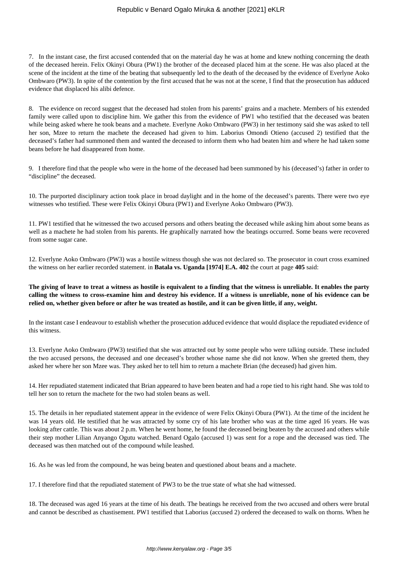## Republic v Benard Ogalo Miruka & another [2021] eKLR

7. In the instant case, the first accused contended that on the material day he was at home and knew nothing concerning the death of the deceased herein. Felix Okinyi Obura (PW1) the brother of the deceased placed him at the scene. He was also placed at the scene of the incident at the time of the beating that subsequently led to the death of the deceased by the evidence of Everlyne Aoko Ombwaro (PW3). In spite of the contention by the first accused that he was not at the scene, I find that the prosecution has adduced evidence that displaced his alibi defence.

8. The evidence on record suggest that the deceased had stolen from his parents' grains and a machete. Members of his extended family were called upon to discipline him. We gather this from the evidence of PW1 who testified that the deceased was beaten while being asked where he took beans and a machete. Everlyne Aoko Ombwaro (PW3) in her testimony said she was asked to tell her son, Mzee to return the machete the deceased had given to him. Laborius Omondi Otieno (accused 2) testified that the deceased's father had summoned them and wanted the deceased to inform them who had beaten him and where he had taken some beans before he had disappeared from home.

9. I therefore find that the people who were in the home of the deceased had been summoned by his (deceased's) father in order to "discipline" the deceased.

10. The purported disciplinary action took place in broad daylight and in the home of the deceased's parents. There were two eye witnesses who testified. These were Felix Okinyi Obura (PW1) and Everlyne Aoko Ombwaro (PW3).

11. PW1 testified that he witnessed the two accused persons and others beating the deceased while asking him about some beans as well as a machete he had stolen from his parents. He graphically narrated how the beatings occurred. Some beans were recovered from some sugar cane.

12. Everlyne Aoko Ombwaro (PW3) was a hostile witness though she was not declared so. The prosecutor in court cross examined the witness on her earlier recorded statement. in **Batala vs. Uganda [1974] E.A. 402** the court at page **405** said:

**The giving of leave to treat a witness as hostile is equivalent to a finding that the witness is unreliable. It enables the party calling the witness to cross-examine him and destroy his evidence. If a witness is unreliable, none of his evidence can be relied on, whether given before or after he was treated as hostile, and it can be given little, if any, weight.**

In the instant case I endeavour to establish whether the prosecution adduced evidence that would displace the repudiated evidence of this witness.

13. Everlyne Aoko Ombwaro (PW3) testified that she was attracted out by some people who were talking outside. These included the two accused persons, the deceased and one deceased's brother whose name she did not know. When she greeted them, they asked her where her son Mzee was. They asked her to tell him to return a machete Brian (the deceased) had given him.

14. Her repudiated statement indicated that Brian appeared to have been beaten and had a rope tied to his right hand. She was told to tell her son to return the machete for the two had stolen beans as well.

15. The details in her repudiated statement appear in the evidence of were Felix Okinyi Obura (PW1). At the time of the incident he was 14 years old. He testified that he was attracted by some cry of his late brother who was at the time aged 16 years. He was looking after cattle. This was about 2 p.m. When he went home, he found the deceased being beaten by the accused and others while their step mother Lilian Anyango Ogutu watched. Benard Ogalo (accused 1) was sent for a rope and the deceased was tied. The deceased was then matched out of the compound while leashed.

16. As he was led from the compound, he was being beaten and questioned about beans and a machete.

17. I therefore find that the repudiated statement of PW3 to be the true state of what she had witnessed.

18. The deceased was aged 16 years at the time of his death. The beatings he received from the two accused and others were brutal and cannot be described as chastisement. PW1 testified that Laborius (accused 2) ordered the deceased to walk on thorns. When he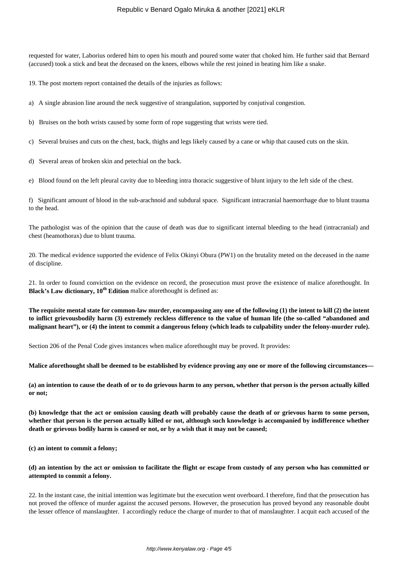## Republic v Benard Ogalo Miruka & another [2021] eKLR

requested for water, Laborius ordered him to open his mouth and poured some water that choked him. He further said that Bernard (accused) took a stick and beat the deceased on the knees, elbows while the rest joined in beating him like a snake.

19. The post mortem report contained the details of the injuries as follows:

a) A single abrasion line around the neck suggestive of strangulation, supported by conjutival congestion.

b) Bruises on the both wrists caused by some form of rope suggesting that wrists were tied.

c) Several bruises and cuts on the chest, back, thighs and legs likely caused by a cane or whip that caused cuts on the skin.

d) Several areas of broken skin and petechial on the back.

e) Blood found on the left pleural cavity due to bleeding intra thoracic suggestive of blunt injury to the left side of the chest.

f) Significant amount of blood in the sub-arachnoid and subdural space. Significant intracranial haemorrhage due to blunt trauma to the head.

The pathologist was of the opinion that the cause of death was due to significant internal bleeding to the head (intracranial) and chest (heamothorax) due to blunt trauma.

20. The medical evidence supported the evidence of Felix Okinyi Obura (PW1) on the brutality meted on the deceased in the name of discipline.

21. In order to found conviction on the evidence on record, the prosecution must prove the existence of malice aforethought. In **Black's Law dictionary, 10th Edition** malice aforethought is defined as:

**The requisite mental state for common-law murder, encompassing any one of the following (1) the intent to kill (2) the intent to inflict grievousbodily harm (3) extremely reckless difference to the value of human life (the so-called "abandoned and malignant heart"), or (4) the intent to commit a dangerous felony (which leads to culpability under the felony-murder rule).**

Section 206 of the Penal Code gives instances when malice aforethought may be proved. It provides:

**Malice aforethought shall be deemed to be established by evidence proving any one or more of the following circumstances—**

**(a) an intention to cause the death of or to do grievous harm to any person, whether that person is the person actually killed or not;**

**(b) knowledge that the act or omission causing death will probably cause the death of or grievous harm to some person, whether that person is the person actually killed or not, although such knowledge is accompanied by indifference whether death or grievous bodily harm is caused or not, or by a wish that it may not be caused;**

**(c) an intent to commit a felony;**

**(d) an intention by the act or omission to facilitate the flight or escape from custody of any person who has committed or attempted to commit a felony.**

22. In the instant case, the initial intention was legitimate but the execution went overboard. I therefore, find that the prosecution has not proved the offence of murder against the accused persons. However, the prosecution has proved beyond any reasonable doubt the lesser offence of manslaughter. I accordingly reduce the charge of murder to that of manslaughter. I acquit each accused of the